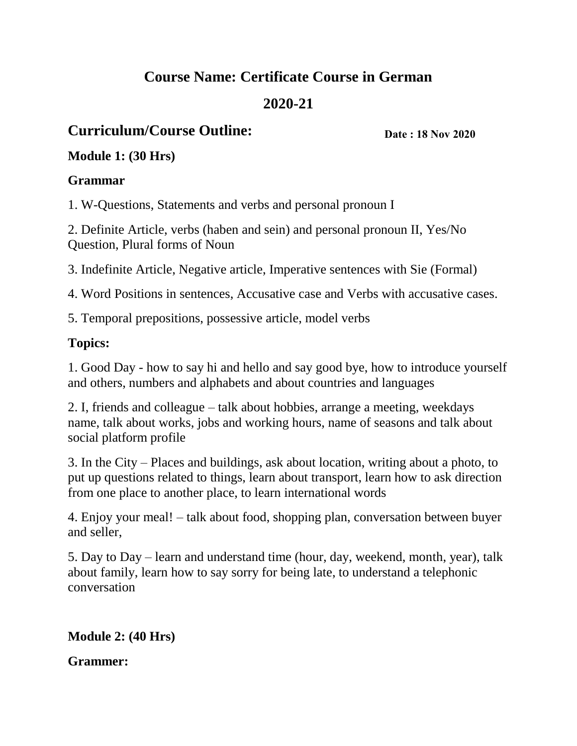# **Course Name: Certificate Course in German 2020-21**

# **Curriculum/Course Outline:**

**Date : 18 Nov 2020**

#### **Module 1: (30 Hrs)**

#### **Grammar**

1. W-Questions, Statements and verbs and personal pronoun I

2. Definite Article, verbs (haben and sein) and personal pronoun II, Yes/No Question, Plural forms of Noun

3. Indefinite Article, Negative article, Imperative sentences with Sie (Formal)

4. Word Positions in sentences, Accusative case and Verbs with accusative cases.

5. Temporal prepositions, possessive article, model verbs

# **Topics:**

1. Good Day - how to say hi and hello and say good bye, how to introduce yourself and others, numbers and alphabets and about countries and languages

2. I, friends and colleague – talk about hobbies, arrange a meeting, weekdays name, talk about works, jobs and working hours, name of seasons and talk about social platform profile

3. In the City – Places and buildings, ask about location, writing about a photo, to put up questions related to things, learn about transport, learn how to ask direction from one place to another place, to learn international words

4. Enjoy your meal! – talk about food, shopping plan, conversation between buyer and seller,

5. Day to Day – learn and understand time (hour, day, weekend, month, year), talk about family, learn how to say sorry for being late, to understand a telephonic conversation

**Module 2: (40 Hrs)** 

**Grammer:**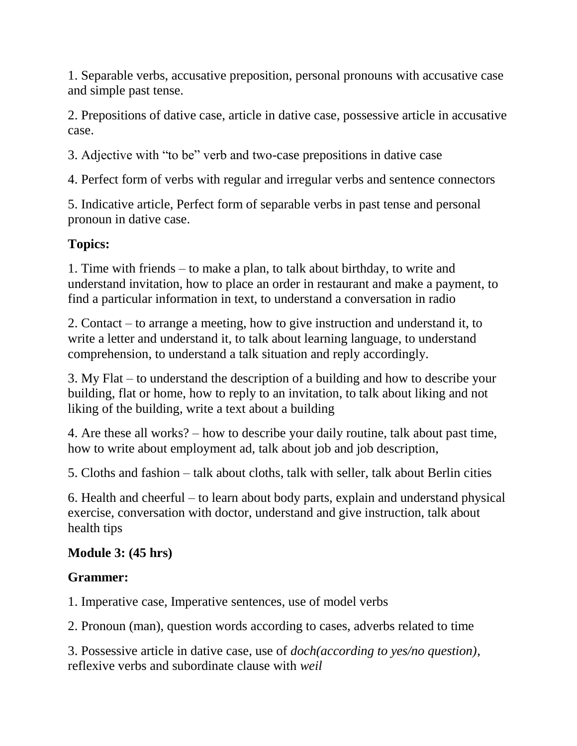1. Separable verbs, accusative preposition, personal pronouns with accusative case and simple past tense.

2. Prepositions of dative case, article in dative case, possessive article in accusative case.

3. Adjective with "to be" verb and two-case prepositions in dative case

4. Perfect form of verbs with regular and irregular verbs and sentence connectors

5. Indicative article, Perfect form of separable verbs in past tense and personal pronoun in dative case.

# **Topics:**

1. Time with friends – to make a plan, to talk about birthday, to write and understand invitation, how to place an order in restaurant and make a payment, to find a particular information in text, to understand a conversation in radio

2. Contact – to arrange a meeting, how to give instruction and understand it, to write a letter and understand it, to talk about learning language, to understand comprehension, to understand a talk situation and reply accordingly.

3. My Flat – to understand the description of a building and how to describe your building, flat or home, how to reply to an invitation, to talk about liking and not liking of the building, write a text about a building

4. Are these all works? – how to describe your daily routine, talk about past time, how to write about employment ad, talk about job and job description,

5. Cloths and fashion – talk about cloths, talk with seller, talk about Berlin cities

6. Health and cheerful – to learn about body parts, explain and understand physical exercise, conversation with doctor, understand and give instruction, talk about health tips

#### **Module 3: (45 hrs)**

#### **Grammer:**

1. Imperative case, Imperative sentences, use of model verbs

2. Pronoun (man), question words according to cases, adverbs related to time

3. Possessive article in dative case, use of *doch(according to yes/no question)*, reflexive verbs and subordinate clause with *weil*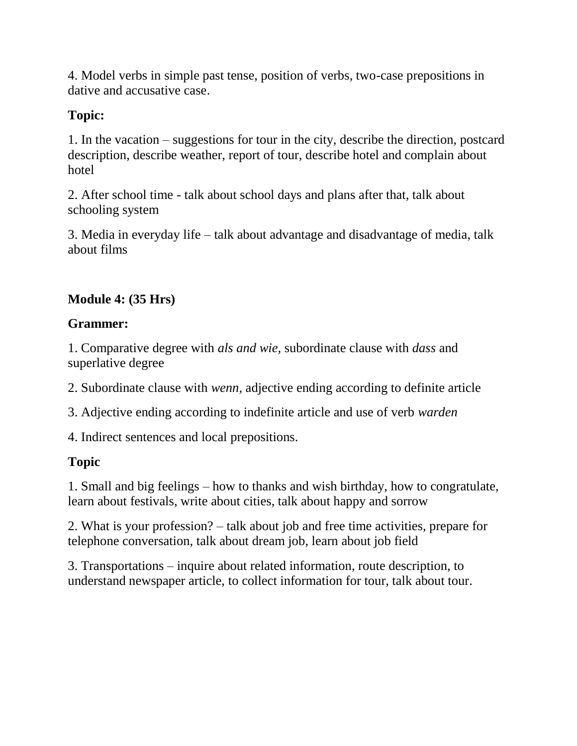4. Model verbs in simple past tense, position of verbs, two-case prepositions in dative and accusative case.

# **Topic:**

1. In the vacation – suggestions for tour in the city, describe the direction, postcard description, describe weather, report of tour, describe hotel and complain about hotel

2. After school time - talk about school days and plans after that, talk about schooling system

3. Media in everyday life – talk about advantage and disadvantage of media, talk about films

# **Module 4: (35 Hrs)**

#### **Grammer:**

1. Comparative degree with *als and wie,* subordinate clause with *dass* and superlative degree

2. Subordinate clause with *wenn,* adjective ending according to definite article

3. Adjective ending according to indefinite article and use of verb *warden* 

4. Indirect sentences and local prepositions.

#### **Topic**

1. Small and big feelings – how to thanks and wish birthday, how to congratulate, learn about festivals, write about cities, talk about happy and sorrow

2. What is your profession? – talk about job and free time activities, prepare for telephone conversation, talk about dream job, learn about job field

3. Transportations – inquire about related information, route description, to understand newspaper article, to collect information for tour, talk about tour.